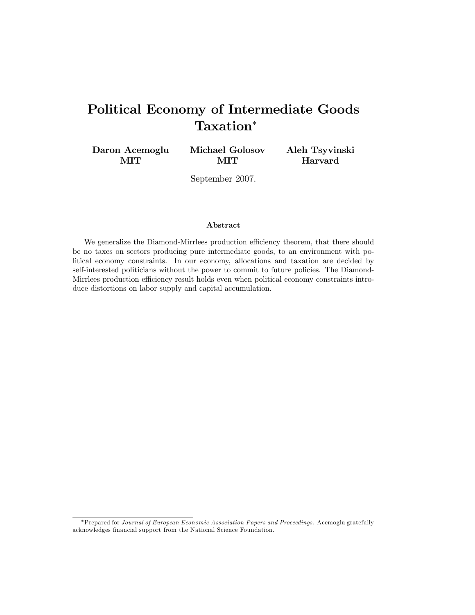# Political Economy of Intermediate Goods Taxation

Daron Acemoglu MIT

Michael Golosov MIT

Aleh Tsyvinski Harvard

September 2007.

#### Abstract

We generalize the Diamond-Mirrlees production efficiency theorem, that there should be no taxes on sectors producing pure intermediate goods, to an environment with political economy constraints. In our economy, allocations and taxation are decided by self-interested politicians without the power to commit to future policies. The Diamond-Mirrlees production efficiency result holds even when political economy constraints introduce distortions on labor supply and capital accumulation.

<sup>\*</sup>Prepared for Journal of European Economic Association Papers and Proceedings. Acemoglu gratefully acknowledges financial support from the National Science Foundation.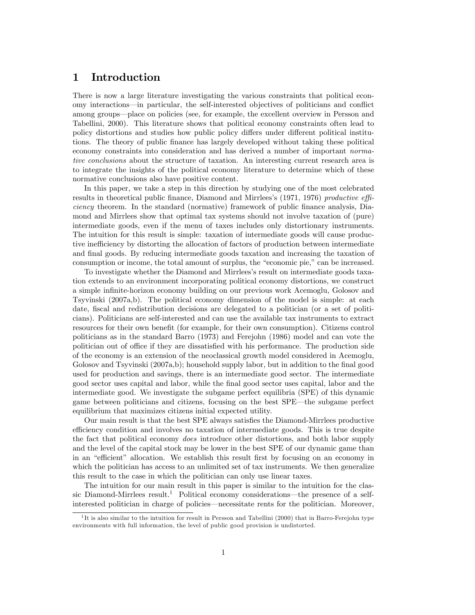## 1 Introduction

There is now a large literature investigating the various constraints that political economy interactions—in particular, the self-interested objectives of politicians and conflict among groups—place on policies (see, for example, the excellent overview in Persson and Tabellini, 2000). This literature shows that political economy constraints often lead to policy distortions and studies how public policy differs under different political institutions. The theory of public Önance has largely developed without taking these political economy constraints into consideration and has derived a number of important normative conclusions about the structure of taxation. An interesting current research area is to integrate the insights of the political economy literature to determine which of these normative conclusions also have positive content.

In this paper, we take a step in this direction by studying one of the most celebrated results in theoretical public finance, Diamond and Mirrlees's (1971, 1976) productive efficiency theorem. In the standard (normative) framework of public Önance analysis, Diamond and Mirrlees show that optimal tax systems should not involve taxation of (pure) intermediate goods, even if the menu of taxes includes only distortionary instruments. The intuition for this result is simple: taxation of intermediate goods will cause productive inefficiency by distorting the allocation of factors of production between intermediate and final goods. By reducing intermediate goods taxation and increasing the taxation of consumption or income, the total amount of surplus, the "economic pie," can be increased.

To investigate whether the Diamond and Mirrleesís result on intermediate goods taxation extends to an environment incorporating political economy distortions, we construct a simple infinite-horizon economy building on our previous work Acemoglu, Golosov and Tsyvinski (2007a,b). The political economy dimension of the model is simple: at each date, fiscal and redistribution decisions are delegated to a politician (or a set of politicians). Politicians are self-interested and can use the available tax instruments to extract resources for their own benefit (for example, for their own consumption). Citizens control politicians as in the standard Barro (1973) and Ferejohn (1986) model and can vote the politician out of office if they are dissatisfied with his performance. The production side of the economy is an extension of the neoclassical growth model considered in Acemoglu, Golosov and Tsyvinski (2007a,b); household supply labor, but in addition to the final good used for production and savings, there is an intermediate good sector. The intermediate good sector uses capital and labor, while the Önal good sector uses capital, labor and the intermediate good. We investigate the subgame perfect equilibria (SPE) of this dynamic game between politicians and citizens, focusing on the best SPE—the subgame perfect equilibrium that maximizes citizens initial expected utility.

Our main result is that the best SPE always satisfies the Diamond-Mirrlees productive efficiency condition and involves no taxation of intermediate goods. This is true despite the fact that political economy *does* introduce other distortions, and both labor supply and the level of the capital stock may be lower in the best SPE of our dynamic game than in an "efficient" allocation. We establish this result first by focusing on an economy in which the politician has access to an unlimited set of tax instruments. We then generalize this result to the case in which the politician can only use linear taxes.

The intuition for our main result in this paper is similar to the intuition for the classic Diamond-Mirrlees result.<sup>1</sup> Political economy considerations—the presence of a selfinterested politician in charge of policies—necessitate rents for the politician. Moreover,

<sup>&</sup>lt;sup>1</sup>It is also similar to the intuition for result in Persson and Tabellini (2000) that in Barro-Ferejohn type environments with full information, the level of public good provision is undistorted.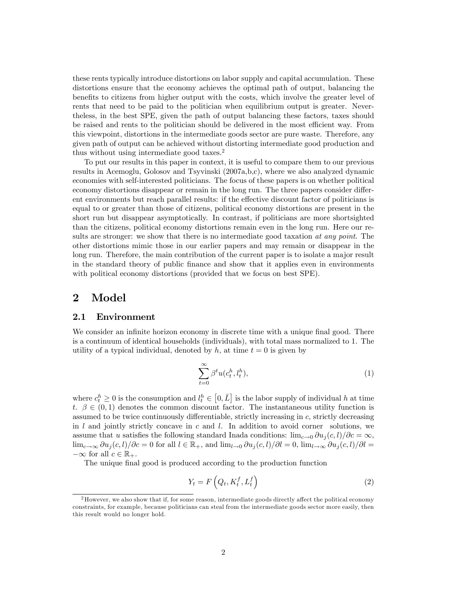these rents typically introduce distortions on labor supply and capital accumulation. These distortions ensure that the economy achieves the optimal path of output, balancing the benefits to citizens from higher output with the costs, which involve the greater level of rents that need to be paid to the politician when equilibrium output is greater. Nevertheless, in the best SPE, given the path of output balancing these factors, taxes should be raised and rents to the politician should be delivered in the most efficient way. From this viewpoint, distortions in the intermediate goods sector are pure waste. Therefore, any given path of output can be achieved without distorting intermediate good production and thus without using intermediate good taxes.<sup>2</sup>

To put our results in this paper in context, it is useful to compare them to our previous results in Acemoglu, Golosov and Tsyvinski (2007a,b,c), where we also analyzed dynamic economies with self-interested politicians. The focus of these papers is on whether political economy distortions disappear or remain in the long run. The three papers consider different environments but reach parallel results: if the effective discount factor of politicians is equal to or greater than those of citizens, political economy distortions are present in the short run but disappear asymptotically. In contrast, if politicians are more shortsighted than the citizens, political economy distortions remain even in the long run. Here our results are stronger: we show that there is no intermediate good taxation at any point. The other distortions mimic those in our earlier papers and may remain or disappear in the long run. Therefore, the main contribution of the current paper is to isolate a major result in the standard theory of public Önance and show that it applies even in environments with political economy distortions (provided that we focus on best SPE).

# 2 Model

#### 2.1 Environment

We consider an infinite horizon economy in discrete time with a unique final good. There is a continuum of identical households (individuals), with total mass normalized to 1. The utility of a typical individual, denoted by h, at time  $t = 0$  is given by

$$
\sum_{t=0}^{\infty} \beta^t u(c_t^h, l_t^h),\tag{1}
$$

where  $c_t^h \geq 0$  is the consumption and  $l_t^h \in [0, \bar{L}]$  is the labor supply of individual h at time t.  $\beta \in (0,1)$  denotes the common discount factor. The instantaneous utility function is assumed to be twice continuously differentiable, strictly increasing in  $c$ , strictly decreasing in  $l$  and jointly strictly concave in  $c$  and  $l$ . In addition to avoid corner solutions, we assume that u satisfies the following standard Inada conditions:  $\lim_{c\to 0} \frac{\partial u_i(c, l)}{\partial c} = \infty$ ,  $\lim_{c\to\infty} \partial u_i(c, l)/\partial c = 0$  for all  $l \in \mathbb{R}_+$ , and  $\lim_{l\to 0} \partial u_i(c, l)/\partial l = 0$ ,  $\lim_{l\to\infty} \partial u_i(c, l)/\partial l =$  $-\infty$  for all  $c \in \mathbb{R}_+$ .

The unique final good is produced according to the production function

$$
Y_t = F\left(Q_t, K_t^f, L_t^f\right) \tag{2}
$$

 $2$ However, we also show that if, for some reason, intermediate goods directly affect the political economy constraints, for example, because politicians can steal from the intermediate goods sector more easily, then this result would no longer hold.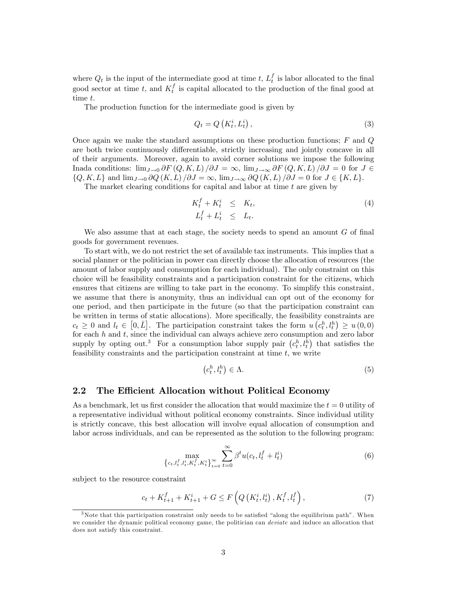where  $Q_t$  is the input of the intermediate good at time t,  $L_t^f$  is labor allocated to the final good sector at time t, and  $K_t^f$  is capital allocated to the production of the final good at time t.

The production function for the intermediate good is given by

$$
Q_t = Q\left(K_t^i, L_t^i\right),\tag{3}
$$

Once again we make the standard assumptions on these production functions;  $F$  and  $Q$ are both twice continuously differentiable, strictly increasing and jointly concave in all of their arguments. Moreover, again to avoid corner solutions we impose the following Inada conditions:  $\lim_{J\to 0} \partial F(Q,K,L)/\partial J = \infty$ ,  $\lim_{J\to \infty} \partial F(Q,K,L)/\partial J = 0$  for  $J \in$  $\{Q, K, L\}$  and  $\lim_{J \to 0} \partial Q(K, L)/\partial J = \infty$ ,  $\lim_{J \to \infty} \partial Q(K, L)/\partial J = 0$  for  $J \in \{K, L\}$ .

The market clearing conditions for capital and labor at time  $t$  are given by

$$
K_t^f + K_t^i \leq K_t,
$$
  
\n
$$
L_t^f + L_t^i \leq L_t.
$$
\n(4)

We also assume that at each stage, the society needs to spend an amount  $G$  of final goods for government revenues.

To start with, we do not restrict the set of available tax instruments. This implies that a social planner or the politician in power can directly choose the allocation of resources (the amount of labor supply and consumption for each individual). The only constraint on this choice will be feasibility constraints and a participation constraint for the citizens, which ensures that citizens are willing to take part in the economy. To simplify this constraint, we assume that there is anonymity, thus an individual can opt out of the economy for one period, and then participate in the future (so that the participation constraint can be written in terms of static allocations). More specifically, the feasibility constraints are  $c_t \geq 0$  and  $l_t \in [0, \bar{L}]$ . The participation constraint takes the form  $u(c_t^h, l_t^h) \geq u(0, 0)$ for each  $h$  and  $t$ , since the individual can always achieve zero consumption and zero labor supply by opting out.<sup>3</sup> For a consumption labor supply pair  $(c_t^h, l_t^h)$  that satisfies the feasibility constraints and the participation constraint at time  $t$ , we write

$$
(c_t^h, l_t^h) \in \Lambda. \tag{5}
$$

## 2.2 The Efficient Allocation without Political Economy

As a benchmark, let us first consider the allocation that would maximize the  $t = 0$  utility of a representative individual without political economy constraints. Since individual utility is strictly concave, this best allocation will involve equal allocation of consumption and labor across individuals, and can be represented as the solution to the following program:

$$
\max_{\{c_t, l_t^f, l_t^i, K_t^f, K_t^i\}_{t=0}^{\infty}} \sum_{t=0}^{\infty} \beta^t u(c_t, l_t^f + l_t^i)
$$
(6)

subject to the resource constraint

$$
c_{t} + K_{t+1}^{f} + K_{t+1}^{i} + G \le F\left(Q\left(K_{t}^{i}, l_{t}^{i}\right), K_{t}^{f}, l_{t}^{f}\right),\tag{7}
$$

 $3$ Note that this participation constraint only needs to be satisfied "along the equilibrium path". When we consider the dynamic political economy game, the politician can *deviate* and induce an allocation that does not satisfy this constraint.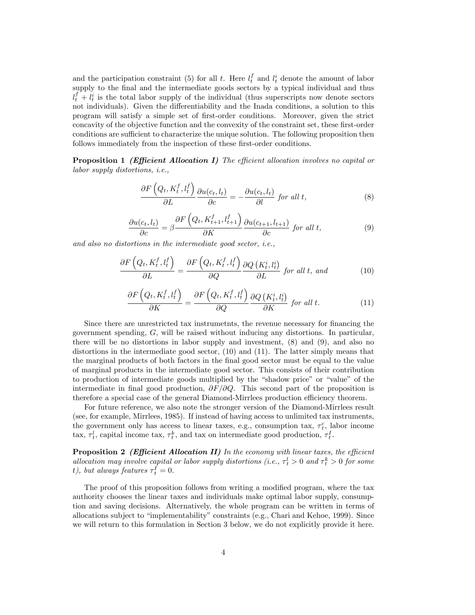and the participation constraint (5) for all t. Here  $l_t^f$  and  $l_t^i$  denote the amount of labor supply to the final and the intermediate goods sectors by a typical individual and thus  $l_t^f + l_t^i$  is the total labor supply of the individual (thus superscripts now denote sectors not individuals). Given the differentiability and the Inada conditions, a solution to this program will satisfy a simple set of first-order conditions. Moreover, given the strict concavity of the objective function and the convexity of the constraint set, these first-order conditions are sufficient to characterize the unique solution. The following proposition then follows immediately from the inspection of these first-order conditions.

**Proposition 1** (Efficient Allocation I) The efficient allocation involves no capital or labor supply distortions, i.e.,

$$
\frac{\partial F\left(Q_t, K_t^f, l_t^f\right)}{\partial L} \frac{\partial u(c_t, l_t)}{\partial c} = -\frac{\partial u(c_t, l_t)}{\partial l} \text{ for all } t,
$$
\n(8)

$$
\frac{\partial u(c_t, l_t)}{\partial c} = \beta \frac{\partial F\left(Q_t, K_{t+1}^f, l_{t+1}^f\right)}{\partial K} \frac{\partial u(c_{t+1}, l_{t+1})}{\partial c} \text{ for all } t,\tag{9}
$$

and also no distortions in the intermediate good sector, i.e.,

$$
\frac{\partial F\left(Q_t, K_t^f, l_t^f\right)}{\partial L} = \frac{\partial F\left(Q_t, K_t^f, l_t^f\right)}{\partial Q} \frac{\partial Q\left(K_t^i, l_t^i\right)}{\partial L} \text{ for all } t, \text{ and } (10)
$$

$$
\frac{\partial F\left(Q_t, K_t^f, l_t^f\right)}{\partial K} = \frac{\partial F\left(Q_t, K_t^f, l_t^f\right)}{\partial Q} \frac{\partial Q\left(K_t^i, l_t^i\right)}{\partial K} \text{ for all } t. \tag{11}
$$

Since there are unrestricted tax instrumetnts, the revenue necessary for financing the government spending, G, will be raised without inducing any distortions. In particular, there will be no distortions in labor supply and investment, (8) and (9), and also no distortions in the intermediate good sector, (10) and (11). The latter simply means that the marginal products of both factors in the final good sector must be equal to the value of marginal products in the intermediate good sector. This consists of their contribution to production of intermediate goods multiplied by the "shadow price" or "value" of the intermediate in final good production,  $\partial F/\partial Q$ . This second part of the proposition is therefore a special case of the general Diamond-Mirrlees production efficiency theorem.

For future reference, we also note the stronger version of the Diamond-Mirrlees result (see, for example, Mirrlees, 1985). If instead of having access to unlimited tax instruments, the government only has access to linear taxes, e.g., consumption tax,  $\tau_t^c$ , labor income tax,  $\tau_t^l$ , capital income tax,  $\tau_t^k$ , and tax on intermediate good production,  $\tau_t^I$ .

**Proposition 2** (Efficient Allocation II) In the economy with linear taxes, the efficient allocation may involve capital or labor supply distortions (i.e.,  $\tau_t^l > 0$  and  $\tau_t^k > 0$  for some t), but always features  $\tau_t^I = 0$ .

The proof of this proposition follows from writing a modified program, where the tax authority chooses the linear taxes and individuals make optimal labor supply, consumption and saving decisions. Alternatively, the whole program can be written in terms of allocations subject to "implementability" constraints (e.g., Chari and Kehoe, 1999). Since we will return to this formulation in Section 3 below, we do not explicitly provide it here.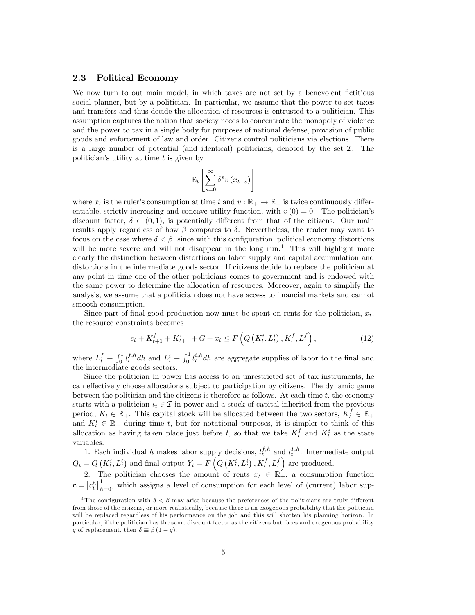### 2.3 Political Economy

We now turn to out main model, in which taxes are not set by a benevolent fictitious social planner, but by a politician. In particular, we assume that the power to set taxes and transfers and thus decide the allocation of resources is entrusted to a politician. This assumption captures the notion that society needs to concentrate the monopoly of violence and the power to tax in a single body for purposes of national defense, provision of public goods and enforcement of law and order. Citizens control politicians via elections. There is a large number of potential (and identical) politicians, denoted by the set  $\mathcal{I}$ . The politician's utility at time  $t$  is given by

$$
\mathbb{E}_{t}\left[\sum_{s=0}^{\infty} \delta^{s} v\left(x_{t+s}\right)\right]
$$

where  $x_t$  is the ruler's consumption at time t and  $v : \mathbb{R}_+ \to \mathbb{R}_+$  is twice continuously differentiable, strictly increasing and concave utility function, with  $v(0) = 0$ . The politician's discount factor,  $\delta \in (0, 1)$ , is potentially different from that of the citizens. Our main results apply regardless of how  $\beta$  compares to  $\delta$ . Nevertheless, the reader may want to focus on the case where  $\delta < \beta$ , since with this configuration, political economy distortions will be more severe and will not disappear in the long run.<sup>4</sup> This will highlight more clearly the distinction between distortions on labor supply and capital accumulation and distortions in the intermediate goods sector. If citizens decide to replace the politician at any point in time one of the other politicians comes to government and is endowed with the same power to determine the allocation of resources. Moreover, again to simplify the analysis, we assume that a politician does not have access to Önancial markets and cannot smooth consumption.

Since part of final good production now must be spent on rents for the politician,  $x_t$ , the resource constraints becomes

$$
c_{t} + K_{t+1}^{f} + K_{t+1}^{i} + G + x_{t} \le F\left(Q\left(K_{t}^{i}, L_{t}^{i}\right), K_{t}^{f}, L_{t}^{f}\right),\tag{12}
$$

where  $L_t^f \equiv \int_0^1 l_t^{f,h} dh$  and  $L_t^i \equiv \int_0^1 l_t^{i,h} dh$  are aggregate supplies of labor to the final and the intermediate goods sectors.

Since the politician in power has access to an unrestricted set of tax instruments, he can effectively choose allocations subject to participation by citizens. The dynamic game between the politician and the citizens is therefore as follows. At each time  $t$ , the economy starts with a politician  $\iota_t \in \mathcal{I}$  in power and a stock of capital inherited from the previous period,  $K_t \in \mathbb{R}_+$ . This capital stock will be allocated between the two sectors,  $K_t^f \in \mathbb{R}_+$ and  $K_t^i \in \mathbb{R}_+$  during time t, but for notational purposes, it is simpler to think of this allocation as having taken place just before t, so that we take  $K_t^f$  and  $K_t^i$  as the state variables.

1. Each individual h makes labor supply decisions,  $l_t^{f,h}$  and  $l_t^{I,h}$ . Intermediate output  $Q_t = Q\left(K_t^i, L_t^i\right)$  and final output  $Y_t = F\left(Q\left(K_t^i, L_t^i\right), K_t^f, L_t^f\right)$  are produced.

2. The politician chooses the amount of rents  $x_t \in \mathbb{R}_+$ , a consumption function  $\mathbf{c} = [c_t^h]_{h=0}^1$ , which assigns a level of consumption for each level of (current) labor sup-

<sup>&</sup>lt;sup>4</sup>The configuration with  $\delta < \beta$  may arise because the preferences of the politicians are truly different from those of the citizens, or more realistically, because there is an exogenous probability that the politician will be replaced regardless of his performance on the job and this will shorten his planning horizon. In particular, if the politician has the same discount factor as the citizens but faces and exogenous probability q of replacement, then  $\delta \equiv \beta (1 - q)$ .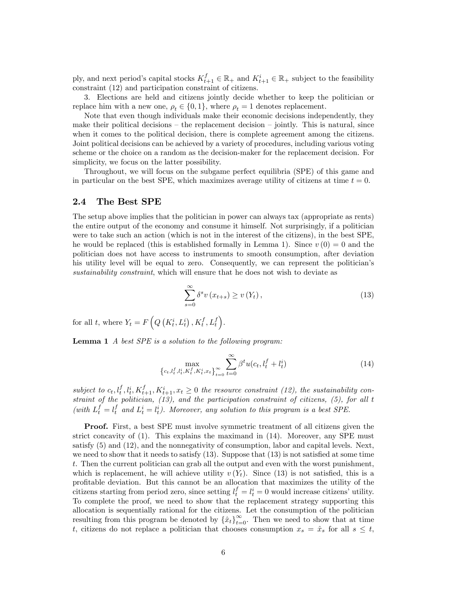ply, and next period's capital stocks  $K_{t+1}^f \in \mathbb{R}_+$  and  $K_{t+1}^i \in \mathbb{R}_+$  subject to the feasibility constraint (12) and participation constraint of citizens.

3. Elections are held and citizens jointly decide whether to keep the politician or replace him with a new one,  $\rho_t \in \{0, 1\}$ , where  $\rho_t = 1$  denotes replacement.

Note that even though individuals make their economic decisions independently, they make their political decisions  $-$  the replacement decision  $-$  jointly. This is natural, since when it comes to the political decision, there is complete agreement among the citizens. Joint political decisions can be achieved by a variety of procedures, including various voting scheme or the choice on a random as the decision-maker for the replacement decision. For simplicity, we focus on the latter possibility.

Throughout, we will focus on the subgame perfect equilibria (SPE) of this game and in particular on the best SPE, which maximizes average utility of citizens at time  $t = 0$ .

#### 2.4 The Best SPE

The setup above implies that the politician in power can always tax (appropriate as rents) the entire output of the economy and consume it himself. Not surprisingly, if a politician were to take such an action (which is not in the interest of the citizens), in the best SPE, he would be replaced (this is established formally in Lemma 1). Since  $v(0) = 0$  and the politician does not have access to instruments to smooth consumption, after deviation his utility level will be equal to zero. Consequently, we can represent the politician's sustainability constraint, which will ensure that he does not wish to deviate as

$$
\sum_{s=0}^{\infty} \delta^s v(x_{t+s}) \ge v(Y_t), \tag{13}
$$

for all t, where  $Y_t = F\left(Q\left(K_t^i, L_t^i\right), K_t^f, L_t^f\right)$ .

Lemma 1 A best SPE is a solution to the following program:

$$
\max_{\{c_t, l_t^f, l_t^i, K_t^f, K_t^i, x_t\}_{t=0}^{\infty}} \sum_{t=0}^{\infty} \beta^t u(c_t, l_t^f + l_t^i)
$$
\n(14)

subject to  $c_t, l_t^f, l_t^i, K_{t+1}^f, K_{t+1}^i, x_t \geq 0$  the resource constraint (12), the sustainability constraint of the politician, (13), and the participation constraint of citizens, (5), for all t (with  $L_t^f = l_t^f$  and  $L_t^i = l_t^i$ ). Moreover, any solution to this program is a best SPE.

Proof. First, a best SPE must involve symmetric treatment of all citizens given the strict concavity of (1). This explains the maximand in (14). Moreover, any SPE must satisfy (5) and (12), and the nonnegativity of consumption, labor and capital levels. Next, we need to show that it needs to satisfy  $(13)$ . Suppose that  $(13)$  is not satisfied at some time t. Then the current politician can grab all the output and even with the worst punishment, which is replacement, he will achieve utility  $v(Y_t)$ . Since (13) is not satisfied, this is a profitable deviation. But this cannot be an allocation that maximizes the utility of the citizens starting from period zero, since setting  $l_t^f = l_t^i = 0$  would increase citizens' utility. To complete the proof, we need to show that the replacement strategy supporting this allocation is sequentially rational for the citizens. Let the consumption of the politician resulting from this program be denoted by  $\{\hat{x}_t\}_{t=0}^{\infty}$ . Then we need to show that at time t, citizens do not replace a politician that chooses consumption  $x_s = \hat{x}_s$  for all  $s \leq t$ ,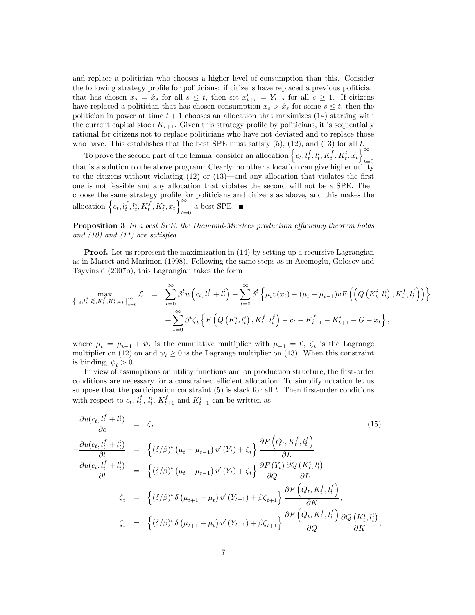and replace a politician who chooses a higher level of consumption than this. Consider the following strategy profile for politicians: if citizens have replaced a previous politician that has chosen  $x_s = \hat{x}_s$  for all  $s \leq t$ , then set  $x'_{t+s} = Y_{t+s}$  for all  $s \geq 1$ . If citizens have replaced a politician that has chosen consumption  $x_s > \hat{x}_s$  for some  $s \leq t$ , then the politician in power at time  $t + 1$  chooses an allocation that maximizes (14) starting with the current capital stock  $K_{t+1}$ . Given this strategy profile by politicians, it is sequentially rational for citizens not to replace politicians who have not deviated and to replace those who have. This establishes that the best SPE must satisfy (5), (12), and (13) for all t.

To prove the second part of the lemma, consider an allocation  $\left\{c_t, l_t^f, l_t^i, K_t^f, K_t^i, x_t\right\}^{\infty}$  $t=0$ that is a solution to the above program. Clearly, no other allocation can give higher utility to the citizens without violating  $(12)$  or  $(13)$ —and any allocation that violates the first one is not feasible and any allocation that violates the second will not be a SPE. Then choose the same strategy profile for politicians and citizens as above, and this makes the allocation  $\left\{c_t, l_t^f, l_t^i, K_t^f, K_t^i, x_t\right\}^{\infty}$  $_{t=0}$  a best SPE.

**Proposition 3** In a best SPE, the Diamond-Mirrlees production efficiency theorem holds and  $(10)$  and  $(11)$  are satisfied.

**Proof.** Let us represent the maximization in (14) by setting up a recursive Lagrangian as in Marcet and Marimon (1998). Following the same steps as in Acemoglu, Golosov and Tsyvinski (2007b), this Lagrangian takes the form

$$
\begin{split} \max_{\left\{c_{t},l_{t}^{f},l_{t}^{i},K_{t}^{f},K_{t}^{i},x_{t}\right\}_{t=0}^{\infty}} \mathcal{L} &= \sum_{t=0}^{\infty} \beta^{t} u\left(c_{t},l_{t}^{f}+l_{t}^{i}\right) + \sum_{t=0}^{\infty} \delta^{t} \left\{\mu_{t} v(x_{t}) - (\mu_{t}-\mu_{t-1}) v F\left(\left(Q\left(K_{t}^{i}, l_{t}^{i}\right), K_{t}^{f}, l_{t}^{f}\right)\right)\right\} \\ &+ \sum_{t=0}^{\infty} \beta^{t} \zeta_{t} \left\{F\left(Q\left(K_{t}^{i}, l_{t}^{i}\right), K_{t}^{f}, l_{t}^{f}\right) - c_{t} - K_{t+1}^{f} - K_{t+1}^{i} - G - x_{t}\right\}, \end{split}
$$

where  $\mu_t = \mu_{t-1} + \psi_t$  is the cumulative multiplier with  $\mu_{-1} = 0$ ,  $\zeta_t$  is the Lagrange multiplier on (12) on and  $\psi_t \geq 0$  is the Lagrange multiplier on (13). When this constraint is binding,  $\psi_t > 0$ .

In view of assumptions on utility functions and on production structure, the first-order conditions are necessary for a constrained efficient allocation. To simplify notation let us suppose that the participation constraint  $(5)$  is slack for all  $t$ . Then first-order conditions with respect to  $c_t$ ,  $l_t^f$ ,  $l_t^i$ ,  $K_{t+1}^f$  and  $K_{t+1}^i$  can be written as

$$
\frac{\partial u(c_t, l_t^f + l_t^i)}{\partial c} = \zeta_t
$$
\n
$$
-\frac{\partial u(c_t, l_t^f + l_t^i)}{\partial l} = \left\{ (\delta/\beta)^t \left( \mu_t - \mu_{t-1} \right) v'(Y_t) + \zeta_t \right\} \frac{\partial F\left(Q_t, K_t^f, l_t^f\right)}{\partial L}
$$
\n
$$
-\frac{\partial u(c_t, l_t^f + l_t^i)}{\partial l} = \left\{ (\delta/\beta)^t \left( \mu_t - \mu_{t-1} \right) v'(Y_t) + \zeta_t \right\} \frac{\partial F(Y_t)}{\partial Q} \frac{\partial Q\left(K_t^i, l_t^i\right)}{\partial L}
$$
\n
$$
\zeta_t = \left\{ (\delta/\beta)^t \delta\left( \mu_{t+1} - \mu_t \right) v'(Y_{t+1}) + \beta \zeta_{t+1} \right\} \frac{\partial F\left(Q_t, K_t^f, l_t^f\right)}{\partial K},
$$
\n
$$
\zeta_t = \left\{ (\delta/\beta)^t \delta\left( \mu_{t+1} - \mu_t \right) v'(Y_{t+1}) + \beta \zeta_{t+1} \right\} \frac{\partial F\left(Q_t, K_t^f, l_t^f\right)}{\partial Q} \frac{\partial Q\left(K_t^i, l_t^i\right)}{\partial K},
$$
\n(15)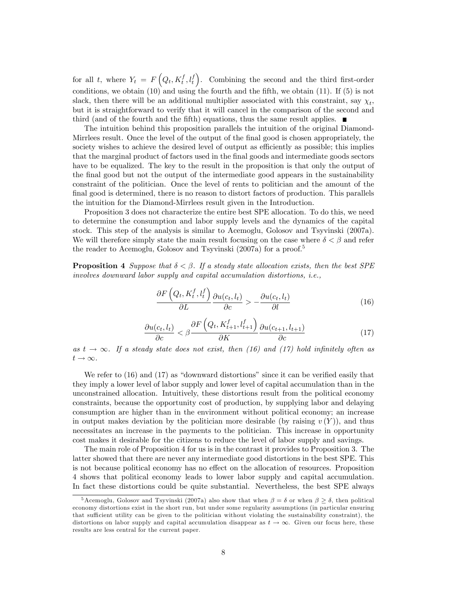for all t, where  $Y_t = F(Q_t, K_t^f, l_t^f)$ . Combining the second and the third first-order conditions, we obtain  $(10)$  and using the fourth and the fifth, we obtain  $(11)$ . If  $(5)$  is not slack, then there will be an additional multiplier associated with this constraint, say  $\chi_t$ , but it is straightforward to verify that it will cancel in the comparison of the second and third (and of the fourth and the Öfth) equations, thus the same result applies.

The intuition behind this proposition parallels the intuition of the original Diamond-Mirrlees result. Once the level of the output of the final good is chosen appropriately, the society wishes to achieve the desired level of output as efficiently as possible; this implies that the marginal product of factors used in the final goods and intermediate goods sectors have to be equalized. The key to the result in the proposition is that only the output of the final good but not the output of the intermediate good appears in the sustainability constraint of the politician. Once the level of rents to politician and the amount of the final good is determined, there is no reason to distort factors of production. This parallels the intuition for the Diamond-Mirrlees result given in the Introduction.

Proposition 3 does not characterize the entire best SPE allocation. To do this, we need to determine the consumption and labor supply levels and the dynamics of the capital stock. This step of the analysis is similar to Acemoglu, Golosov and Tsyvinski (2007a). We will therefore simply state the main result focusing on the case where  $\delta < \beta$  and refer the reader to Acemoglu, Golosov and Tsyvinski (2007a) for a proof.<sup>5</sup>

**Proposition 4** Suppose that  $\delta \leq \beta$ . If a steady state allocation exists, then the best SPE involves downward labor supply and capital accumulation distortions, i.e.,

$$
\frac{\partial F\left(Q_t, K_t^f, l_t^f\right)}{\partial L} \frac{\partial u(c_t, l_t)}{\partial c} > -\frac{\partial u(c_t, l_t)}{\partial l} \tag{16}
$$

$$
\frac{\partial u(c_t, l_t)}{\partial c} < \beta \frac{\partial F\left(Q_t, K_{t+1}^f, l_{t+1}^f\right)}{\partial K} \frac{\partial u(c_{t+1}, l_{t+1})}{\partial c} \tag{17}
$$

as  $t \to \infty$ . If a steady state does not exist, then (16) and (17) hold infinitely often as  $t \rightarrow \infty$ .

We refer to  $(16)$  and  $(17)$  as "downward distortions" since it can be verified easily that they imply a lower level of labor supply and lower level of capital accumulation than in the unconstrained allocation. Intuitively, these distortions result from the political economy constraints, because the opportunity cost of production, by supplying labor and delaying consumption are higher than in the environment without political economy; an increase in output makes deviation by the politician more desirable (by raising  $v(Y)$ ), and thus necessitates an increase in the payments to the politician. This increase in opportunity cost makes it desirable for the citizens to reduce the level of labor supply and savings.

The main role of Proposition 4 for us is in the contrast it provides to Proposition 3. The latter showed that there are never any intermediate good distortions in the best SPE. This is not because political economy has no effect on the allocation of resources. Proposition 4 shows that political economy leads to lower labor supply and capital accumulation. In fact these distortions could be quite substantial. Nevertheless, the best SPE always

<sup>&</sup>lt;sup>5</sup> Acemoglu, Golosov and Tsyvinski (2007a) also show that when  $\beta = \delta$  or when  $\beta \geq \delta$ , then political economy distortions exist in the short run, but under some regularity assumptions (in particular ensuring that sufficient utility can be given to the politician without violating the sustainability constraint), the distortions on labor supply and capital accumulation disappear as  $t \to \infty$ . Given our focus here, these results are less central for the current paper.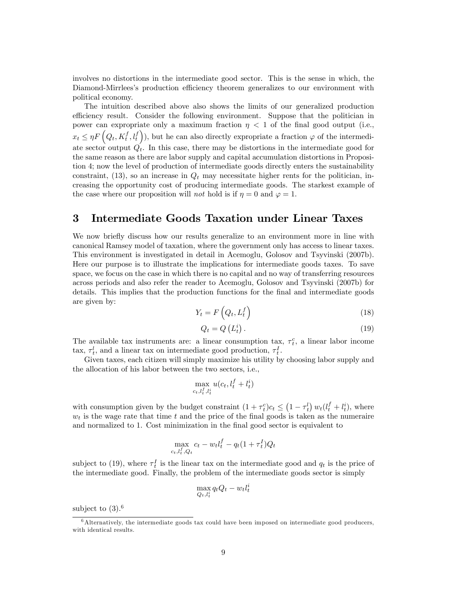involves no distortions in the intermediate good sector. This is the sense in which, the Diamond-Mirrlees's production efficiency theorem generalizes to our environment with political economy.

The intuition described above also shows the limits of our generalized production efficiency result. Consider the following environment. Suppose that the politician in power can expropriate only a maximum fraction  $\eta$  < 1 of the final good output (i.e.,  $x_t \leq \eta F\left(Q_t, K_t^f, l_t^f\right)$ , but he can also directly expropriate a fraction  $\varphi$  of the intermediate sector output  $Q_t$ . In this case, there may be distortions in the intermediate good for the same reason as there are labor supply and capital accumulation distortions in Proposition 4; now the level of production of intermediate goods directly enters the sustainability constraint, (13), so an increase in  $Q_t$  may necessitate higher rents for the politician, increasing the opportunity cost of producing intermediate goods. The starkest example of the case where our proposition will *not* hold is if  $\eta = 0$  and  $\varphi = 1$ .

# 3 Intermediate Goods Taxation under Linear Taxes

We now briefly discuss how our results generalize to an environment more in line with canonical Ramsey model of taxation, where the government only has access to linear taxes. This environment is investigated in detail in Acemoglu, Golosov and Tsyvinski (2007b). Here our purpose is to illustrate the implications for intermediate goods taxes. To save space, we focus on the case in which there is no capital and no way of transferring resources across periods and also refer the reader to Acemoglu, Golosov and Tsyvinski (2007b) for details. This implies that the production functions for the final and intermediate goods are given by:  $\overline{ }$  $f\setminus$ 

$$
Y_t = F\left(Q_t, L_t^f\right) \tag{18}
$$

$$
Q_t = Q\left(L_t^i\right). \tag{19}
$$

The available tax instruments are: a linear consumption tax,  $\tau_t^c$ , a linear labor income tax,  $\tau_t^l$ , and a linear tax on intermediate good production,  $\tau_t^I$ .

Given taxes, each citizen will simply maximize his utility by choosing labor supply and the allocation of his labor between the two sectors, i.e.,

$$
\max_{c_t,l_t^f,l_t^i} u(c_t,l_t^f+l_t^i)
$$

with consumption given by the budget constraint  $(1 + \tau_t^c)c_t \leq (1 - \tau_t^l) w_t(l_t^f + l_t^i)$ , where  $w_t$  is the wage rate that time t and the price of the final goods is taken as the numeraire and normalized to 1. Cost minimization in the final good sector is equivalent to

$$
\max_{c_t, l_t^f, Q_t} c_t - w_t l_t^f - q_t (1 + \tau_t^I) Q_t
$$

subject to (19), where  $\tau_t^I$  is the linear tax on the intermediate good and  $q_t$  is the price of the intermediate good. Finally, the problem of the intermediate goods sector is simply

$$
\max_{Q_t, l_t^i} q_t Q_t - w_t l_t^i
$$

subject to  $(3).<sup>6</sup>$ 

<sup>6</sup>Alternatively, the intermediate goods tax could have been imposed on intermediate good producers, with identical results.